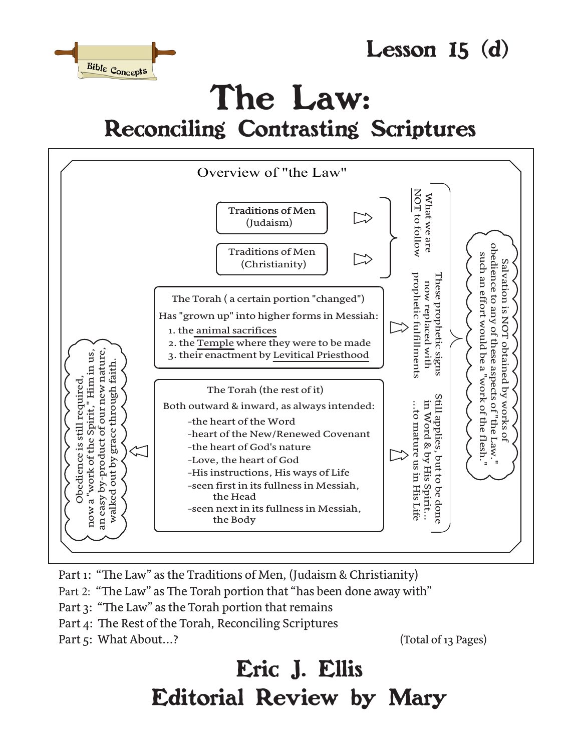



# The Law: Reconciling Contrasting Scriptures



Part 1: "The Law" as the Traditions of Men, (Judaism & Christianity)

Part 2: "The Law" as The Torah portion that "has been done away with"

- Part 3: "The Law" as the Torah portion that remains
- Part 4: The Rest of the Torah, Reconciling Scriptures
- Part 5: What About...? (Total of 13 Pages)

# Eric J. Ellis Editorial Review by Mary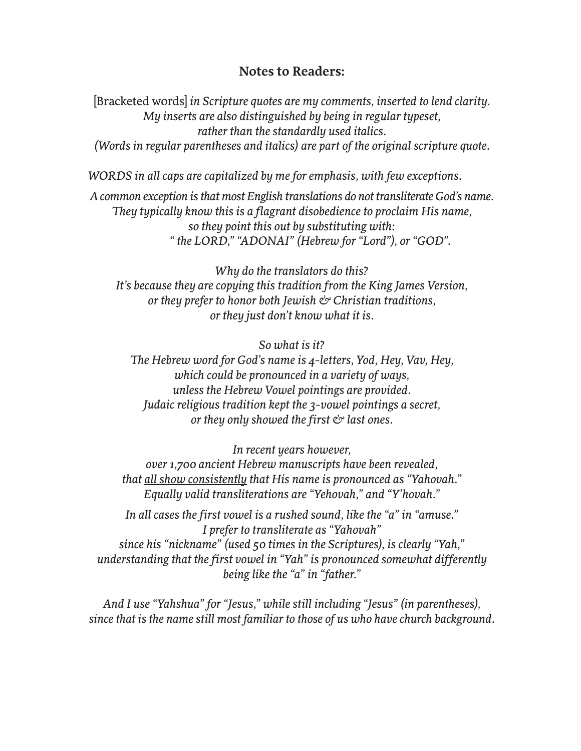#### **Notes to Readers:**

[Bracketed words] *in Scripture quotes are my comments, inserted to lend clarity. My inserts are also distinguished by being in regular typeset, rather than the standardly used italics. (Words in regular parentheses and italics) are part of the original scripture quote.*

*WORDS in all caps are capitalized by me for emphasis, with few exceptions.* 

*A common exception is that most English translations do not transliterate God's name. They typically know this is a flagrant disobedience to proclaim His name, so they point this out by substituting with: " the LORD," "ADONAI" (Hebrew for "Lord"), or "GOD".*

*Why do the translators do this? It's because they are copying this tradition from the King James Version, or they prefer to honor both Jewish & Christian traditions, or they just don't know what it is.* 

*So what is it?*

*The Hebrew word for God's name is 4-letters, Yod, Hey, Vav, Hey, which could be pronounced in a variety of ways, unless the Hebrew Vowel pointings are provided. Judaic religious tradition kept the 3-vowel pointings a secret, or they only showed the first & last ones.* 

*In recent years however,* 

*over 1,700 ancient Hebrew manuscripts have been revealed, that all show consistently that His name is pronounced as "Yahovah." Equally valid transliterations are "Yehovah," and "Y'hovah."* 

*In all cases the first vowel is a rushed sound, like the "a" in "amuse." I prefer to transliterate as "Yahovah" since his "nickname" (used 50 times in the Scriptures), is clearly "Yah," understanding that the first vowel in "Yah" is pronounced somewhat differently being like the "a" in "father."* 

*And I use "Yahshua" for "Jesus," while still including "Jesus" (in parentheses), since that is the name still most familiar to those of us who have church background.*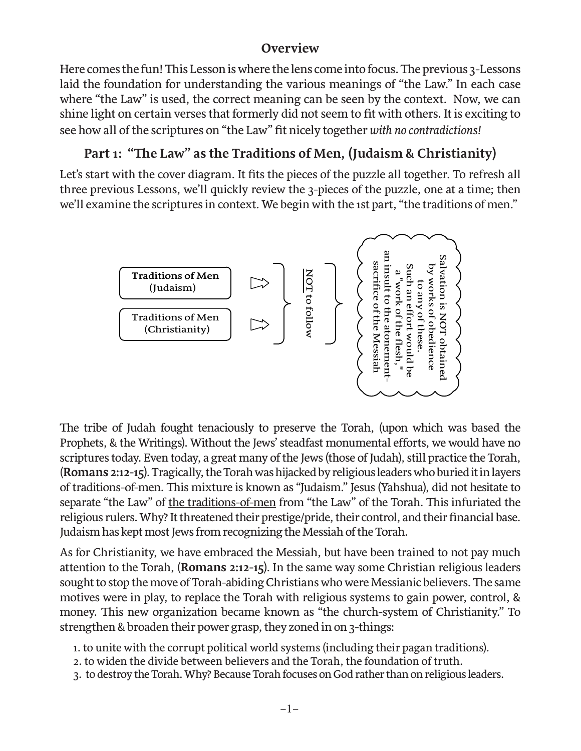#### **Overview**

Here comes the fun! This Lesson is where the lens come into focus. The previous 3-Lessons laid the foundation for understanding the various meanings of "the Law." In each case where "the Law" is used, the correct meaning can be seen by the context. Now, we can shine light on certain verses that formerly did not seem to fit with others. It is exciting to see how all of the scriptures on "the Law" fit nicely together *with no contradictions!*

## **Part 1: "The Law" as the Traditions of Men, (Judaism & Christianity)**

Let's start with the cover diagram. It fits the pieces of the puzzle all together. To refresh all three previous Lessons, we'll quickly review the 3-pieces of the puzzle, one at a time; then we'll examine the scriptures in context. We begin with the 1st part, "the traditions of men."<br>



The tribe of Judah fought tenaciously to preserve the Torah, (upon which was based the Prophets, & the Writings). Without the Jews' steadfast monumental efforts, we would have no scriptures today. Even today, a great many of the Jews (those of Judah), still practice the Torah, (**Romans 2:12-15**). Tragically, the Torah was hijacked by religious leaders who buried it in layers of traditions-of-men. This mixture is known as "Judaism." Jesus (Yahshua), did not hesitate to separate "the Law" of the traditions-of-men from "the Law" of the Torah. This infuriated the religious rulers. Why? It threatened their prestige/pride, their control, and their financial base. Judaism has kept most Jews from recognizing the Messiah of the Torah.

As for Christianity, we have embraced the Messiah, but have been trained to not pay much attention to the Torah, (**Romans 2:12-15**). In the same way some Christian religious leaders sought to stop the move of Torah-abiding Christians who were Messianic believers. The same motives were in play, to replace the Torah with religious systems to gain power, control, & money. This new organization became known as "the church-system of Christianity." To strengthen & broaden their power grasp, they zoned in on 3-things:

- 1. to unite with the corrupt political world systems (including their pagan traditions).
- 2. to widen the divide between believers and the Torah, the foundation of truth.
- 3. to destroy the Torah. Why? Because Torah focuses on God rather than on religious leaders.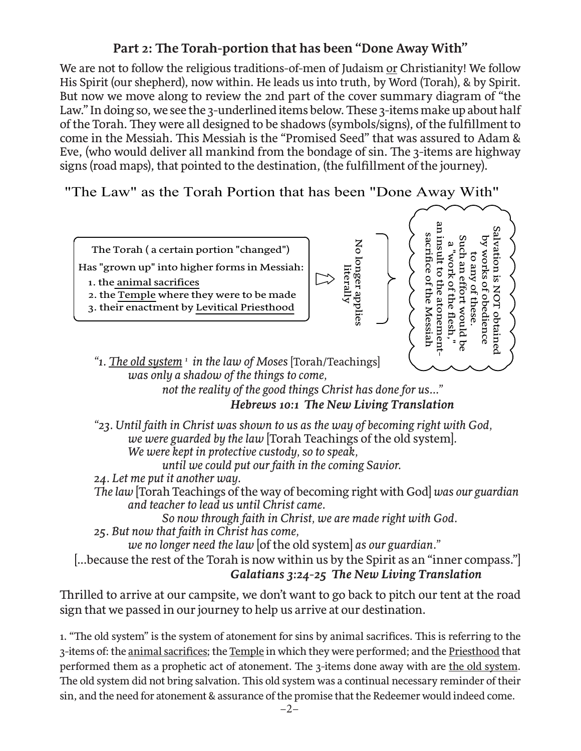#### **Part 2: The Torah-portion that has been "Done Away With"**

We are not to follow the religious traditions-of-men of Judaism or Christianity! We follow His Spirit (our shepherd), now within. He leads us into truth, by Word (Torah), & by Spirit. But now we move along to review the 2nd part of the cover summary diagram of "the Law." In doing so, we see the 3-underlined items below. These 3-items make up about half of the Torah. They were all designed to be shadows (symbols/signs), of the fulfillment to come in the Messiah. This Messiah is the "Promised Seed" that was assured to Adam & Eve, (who would deliver all mankind from the bondage of sin. The 3-items are highway signs (road maps), that pointed to the destination, (the fulfillment of the journey).

"The Law" as the Torah Portion that has been "Done Away With"



*"1. The old system <sup>1</sup> in the law of Moses* [Torah/Teachings]  *was only a shadow of the things to come,* 

 *not the reality of the good things Christ has done for us..." Hebrews 10:1 The New Living Translation*

*"23. Until faith in Christ was shown to us as the way of becoming right with God, we were guarded by the law* [Torah Teachings of the old system]*. We were kept in protective custody, so to speak, until we could put our faith in the coming Savior.*

*24. Let me put it another way.* 

*The law* [Torah Teachings of the way of becoming right with God] *was our guardian and teacher to lead us until Christ came.* 

 *So now through faith in Christ, we are made right with God.*

*25. But now that faith in Christ has come,* 

 *we no longer need the law* [of the old system] *as our guardian."* 

[...because the rest of the Torah is now within us by the Spirit as an "inner compass."] *Galatians 3:24-25 The New Living Translation*

Thrilled to arrive at our campsite, we don't want to go back to pitch our tent at the road sign that we passed in our journey to help us arrive at our destination.

1. "The old system" is the system of atonement for sins by animal sacrifices. This is referring to the 3-items of: the animal sacrifices; the Temple in which they were performed; and the Priesthood that performed them as a prophetic act of atonement. The 3-items done away with are the old system. The old system did not bring salvation. This old system was a continual necessary reminder of their sin, and the need for atonement & assurance of the promise that the Redeemer would indeed come.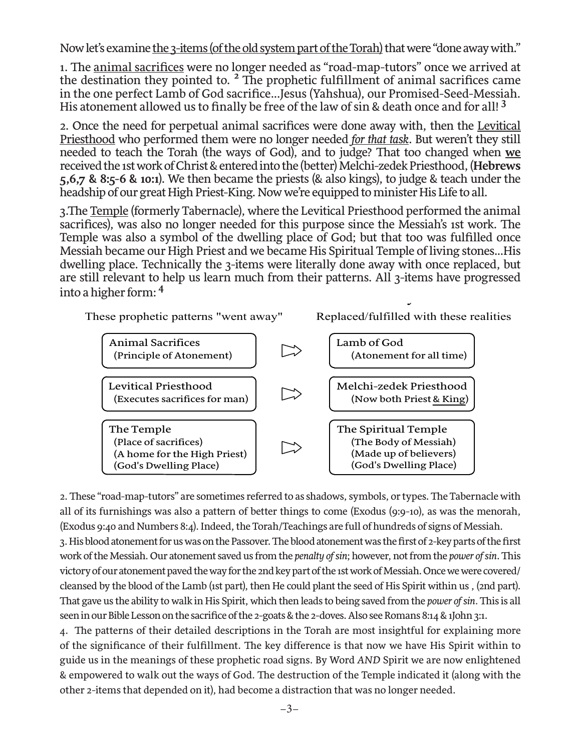Now let's examine the 3-items (of the old system part of the Torah) that were "done away with."

1. The animal sacrifices were no longer needed as "road-map-tutors" once we arrived at the destination they pointed to. <sup>2</sup> The prophetic fulfillment of animal sacrifices came in the one perfect Lamb of God sacrifice...Jesus (Yahshua), our Promised-Seed-Messiah. His atonement allowed us to finally be free of the law of sin & death once and for all! **<sup>3</sup>**

2. Once the need for perpetual animal sacrifices were done away with, then the Levitical Priesthood who performed them were no longer needed *for that task*. But weren't they still needed to teach the Torah (the ways of God), and to judge? That too changed when **we** received the 1st work of Christ & entered into the (better) Melchi-zedek Priesthood, (**Hebrews 5,6,7 & 8:5-6 & 10:1**). We then became the priests (& also kings), to judge & teach under the headship of our great High Priest-King. Now we're equipped to minister His Life to all.

3.The Temple (formerly Tabernacle), where the Levitical Priesthood performed the animal sacrifices), was also no longer needed for this purpose since the Messiah's 1st work. The Temple was also a symbol of the dwelling place of God; but that too was fulfilled once Messiah became our High Priest and we became His Spiritual Temple of living stones...His dwelling place. Technically the 3-items were literally done away with once replaced, but are still relevant to help us learn much from their patterns. All 3-items have progressed into a higher form: **<sup>4</sup>**  $\sigma$  3 Torah Items that were "done away with "done away with" with  $\sigma$ 

These prophetic patterns "went away" Replaced/fulfilled with these realities



2. These "road-map-tutors" are sometimes referred to as shadows, symbols, or types. The Tabernacle with all of its furnishings was also a pattern of better things to come (Exodus (9:9-10), as was the menorah, (Exodus 9:40 and Numbers 8:4). Indeed, the Torah/Teachings are full of hundreds of signs of Messiah. 3. His blood atonement for us was on the Passover. The blood atonement was the first of 2-key parts of the first work of the Messiah. Our atonement saved us from the *penalty of sin*; however, not from the *power of sin*. This victory of our atonement paved the way for the 2nd key part of the 1st work of Messiah. Once we were covered/ cleansed by the blood of the Lamb (1st part), then He could plant the seed of His Spirit within us , (2nd part). That gave us the ability to walk in His Spirit, which then leads to being saved from the *power of sin.* This is all seen in our Bible Lesson on the sacrifice of the 2-goats & the 2-doves. Also see Romans 8:14 & 1John 3:1.

4. The patterns of their detailed descriptions in the Torah are most insightful for explaining more of the significance of their fulfillment. The key difference is that now we have His Spirit within to guide us in the meanings of these prophetic road signs. By Word *AND* Spirit we are now enlightened & empowered to walk out the ways of God. The destruction of the Temple indicated it (along with the other 2-items that depended on it), had become a distraction that was no longer needed.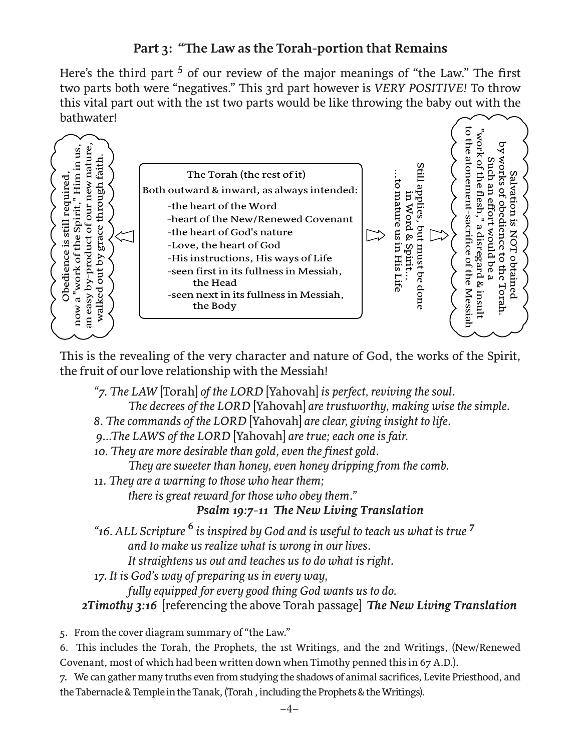#### **Part 3: "The Law as the Torah-portion that Remains**

Here's the third part <sup>5</sup> of our review of the major meanings of "the Law." The first two parts both were "negatives." This 3rd part however is *VERY POSITIVE!* To throw this vital part out with the 1st two parts would be like throwing the baby out with the this vital part out with the 1st two parts would be like throwing the baby out with the bathwater!



This is the revealing of the very character and nature of God, the works of the Spirit, the fruit of our love relationship with the Messiah!

*"7. The LAW* [Torah] *of the LORD* [Yahovah] *is perfect, reviving the soul.*

 *The decrees of the LORD* [Yahovah] *are trustworthy, making wise the simple.*

- *8. The commands of the LORD* [Yahovah] *are clear, giving insight to life.*
- *9...The LAWS of the LORD* [Yahovah] *are true; each one is fair.*
- *10. They are more desirable than gold, even the finest gold.*

 *They are sweeter than honey, even honey dripping from the comb.*

*11. They are a warning to those who hear them;*

 *there is great reward for those who obey them."*

#### *Psalm 19:7-11 The New Living Translation*

*"16. ALL Scripture* **6** *is inspired by God and is useful to teach us what is true* **<sup>7</sup>**  *and to make us realize what is wrong in our lives.* 

 *It straightens us out and teaches us to do what is right.*

*17. It is God's way of preparing us in every way,* 

 *fully equipped for every good thing God wants us to do.*

 *2Timothy 3:16* [referencing the above Torah passage] *The New Living Translation*

5. From the cover diagram summary of "the Law."

6. This includes the Torah, the Prophets, the 1st Writings, and the 2nd Writings, (New/Renewed Covenant, most of which had been written down when Timothy penned this in 67 A.D.).

7. We can gather many truths even from studying the shadows of animal sacrifices, Levite Priesthood, and the Tabernacle & Temple in the Tanak, (Torah , including the Prophets & the Writings).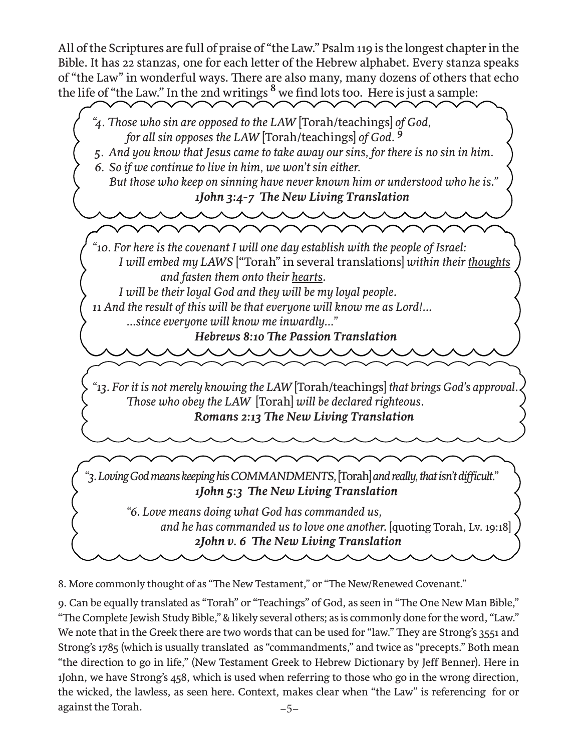All of the Scriptures are full of praise of "the Law." Psalm 119 is the longest chapter in the Bible. It has 22 stanzas, one for each letter of the Hebrew alphabet. Every stanza speaks of "the Law" in wonderful ways. There are also many, many dozens of others that echo the life of "the Law." In the 2nd writings **<sup>8</sup>** we find lots too. Here is just a sample:



8. More commonly thought of as "The New Testament," or "The New/Renewed Covenant."

–5– 9. Can be equally translated as "Torah" or "Teachings" of God, as seen in "The One New Man Bible," "The Complete Jewish Study Bible," & likely several others; as is commonly done for the word, "Law." We note that in the Greek there are two words that can be used for "law." They are Strong's 3551 and Strong's 1785 (which is usually translated as "commandments," and twice as "precepts." Both mean "the direction to go in life," (New Testament Greek to Hebrew Dictionary by Jeff Benner). Here in 1John, we have Strong's 458, which is used when referring to those who go in the wrong direction, the wicked, the lawless, as seen here. Context, makes clear when "the Law" is referencing for or against the Torah.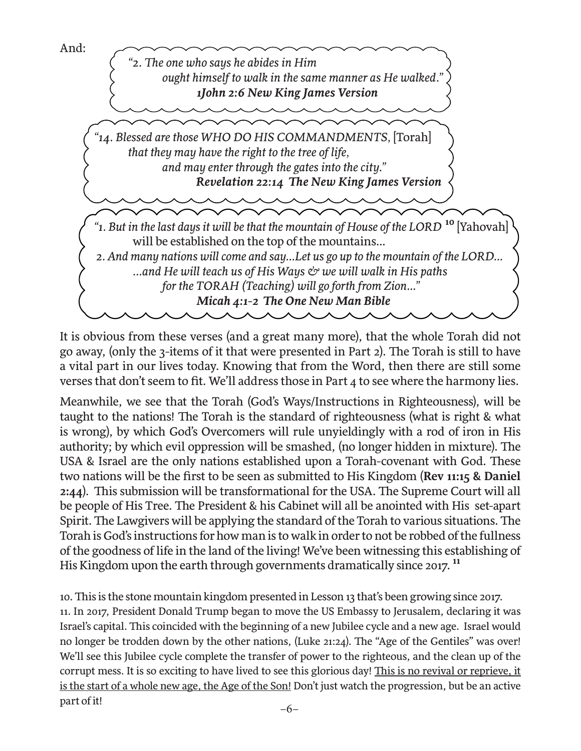



It is obvious from these verses (and a great many more), that the whole Torah did not go away, (only the 3-items of it that were presented in Part 2). The Torah is still to have a vital part in our lives today. Knowing that from the Word, then there are still some verses that don't seem to fit. We'll address those in Part 4 to see where the harmony lies.

Meanwhile, we see that the Torah (God's Ways/Instructions in Righteousness), will be taught to the nations! The Torah is the standard of righteousness (what is right & what is wrong), by which God's Overcomers will rule unyieldingly with a rod of iron in His authority; by which evil oppression will be smashed, (no longer hidden in mixture). The USA & Israel are the only nations established upon a Torah-covenant with God. These two nations will be the first to be seen as submitted to His Kingdom (**Rev 11:15 & Daniel 2:44**). This submission will be transformational for the USA. The Supreme Court will all be people of His Tree. The President & his Cabinet will all be anointed with His set-apart Spirit. The Lawgivers will be applying the standard of the Torah to various situations. The Torah is God's instructions for how man is to walk in order to not be robbed of the fullness of the goodness of life in the land of the living! We've been witnessing this establishing of His Kingdom upon the earth through governments dramatically since 2017. **<sup>11</sup>**

10. This is the stone mountain kingdom presented in Lesson 13 that's been growing since 2017. 11. In 2017, President Donald Trump began to move the US Embassy to Jerusalem, declaring it was Israel's capital. This coincided with the beginning of a new Jubilee cycle and a new age. Israel would no longer be trodden down by the other nations, (Luke 21:24). The "Age of the Gentiles" was over! We'll see this Jubilee cycle complete the transfer of power to the righteous, and the clean up of the corrupt mess. It is so exciting to have lived to see this glorious day! This is no revival or reprieve, it is the start of a whole new age, the Age of the Son! Don't just watch the progression, but be an active part of it!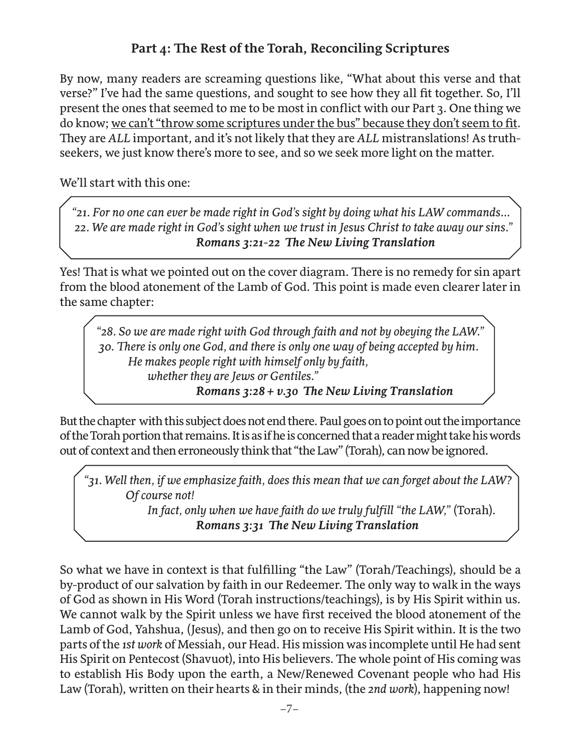## **Part 4: The Rest of the Torah, Reconciling Scriptures**

By now, many readers are screaming questions like, "What about this verse and that verse?" I've had the same questions, and sought to see how they all fit together. So, I'll present the ones that seemed to me to be most in conflict with our Part 3. One thing we do know; we can't "throw some scriptures under the bus" because they don't seem to fit. They are *ALL* important, and it's not likely that they are *ALL* mistranslations! As truthseekers, we just know there's more to see, and so we seek more light on the matter.

We'll start with this one:

 *"21. For no one can ever be made right in God's sight by doing what his LAW commands... 22. We are made right in God's sight when we trust in Jesus Christ to take away our sins." Romans 3:21-22 The New Living Translation*

Yes! That is what we pointed out on the cover diagram. There is no remedy for sin apart from the blood atonement of the Lamb of God. This point is made even clearer later in the same chapter:

 *"28. So we are made right with God through faith and not by obeying the LAW." 30. There is only one God, and there is only one way of being accepted by him. He makes people right with himself only by faith, whether they are Jews or Gentiles." Romans 3:28 + v.30 The New Living Translation*

But the chapter with this subject does not end there. Paul goes on to point out the importance of the Torah portion that remains. It is as if he is concerned that a reader might take his words out of context and then erroneously think that "the Law" (Torah), can now be ignored.

 *"31. Well then, if we emphasize faith, does this mean that we can forget about the LAW? Of course not!* 

> *In fact, only when we have faith do we truly fulfill "the LAW,"* (Torah)*. Romans 3:31 The New Living Translation*

So what we have in context is that fulfilling "the Law" (Torah/Teachings), should be a by-product of our salvation by faith in our Redeemer. The only way to walk in the ways of God as shown in His Word (Torah instructions/teachings), is by His Spirit within us. We cannot walk by the Spirit unless we have first received the blood atonement of the Lamb of God, Yahshua, (Jesus), and then go on to receive His Spirit within. It is the two parts of the *1st work* of Messiah, our Head. His mission was incomplete until He had sent His Spirit on Pentecost (Shavuot), into His believers. The whole point of His coming was to establish His Body upon the earth, a New/Renewed Covenant people who had His Law (Torah), written on their hearts & in their minds, (the *2nd work*), happening now!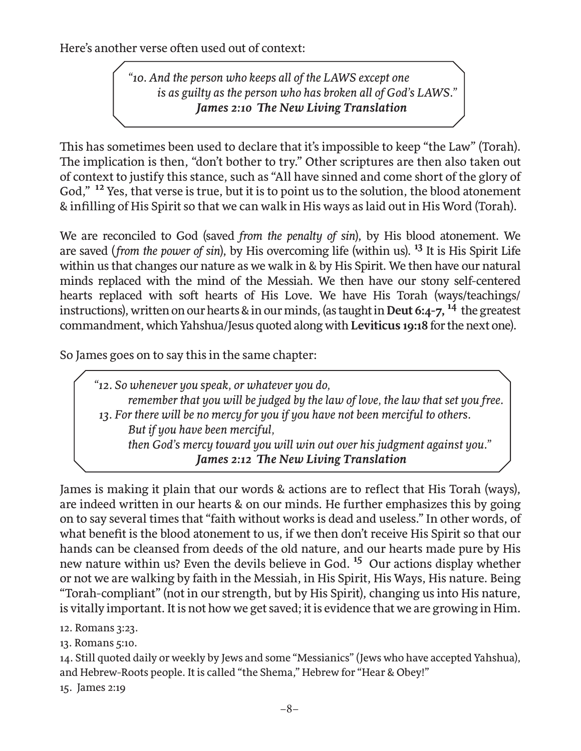Here's another verse often used out of context:

 *"10. And the person who keeps all of the LAWS except one is as guilty as the person who has broken all of God's LAWS." James 2:10 The New Living Translation*

This has sometimes been used to declare that it's impossible to keep "the Law" (Torah). The implication is then, "don't bother to try." Other scriptures are then also taken out of context to justify this stance, such as "All have sinned and come short of the glory of God," **<sup>12</sup>** Yes, that verse is true, but it is to point us to the solution, the blood atonement & infilling of His Spirit so that we can walk in His ways as laid out in His Word (Torah).

We are reconciled to God (saved *from the penalty of sin*), by His blood atonement. We are saved (*from the power of sin*), by His overcoming life (within us). **13** It is His Spirit Life within us that changes our nature as we walk in & by His Spirit. We then have our natural minds replaced with the mind of the Messiah. We then have our stony self-centered hearts replaced with soft hearts of His Love. We have His Torah (ways/teachings/ instructions), written on our hearts & in our minds, (as taught in **Deut 6:4-7, 14** the greatest commandment, which Yahshua/Jesus quoted along with **Leviticus 19:18** for the next one).

So James goes on to say this in the same chapter:

*"12. So whenever you speak, or whatever you do, remember that you will be judged by the law of love, the law that set you free. 13. For there will be no mercy for you if you have not been merciful to others. But if you have been merciful, then God's mercy toward you will win out over his judgment against you." James 2:12 The New Living Translation*

James is making it plain that our words & actions are to reflect that His Torah (ways), are indeed written in our hearts & on our minds. He further emphasizes this by going on to say several times that "faith without works is dead and useless." In other words, of what benefit is the blood atonement to us, if we then don't receive His Spirit so that our hands can be cleansed from deeds of the old nature, and our hearts made pure by His new nature within us? Even the devils believe in God. **<sup>15</sup>**Our actions display whether or not we are walking by faith in the Messiah, in His Spirit, His Ways, His nature. Being "Torah-compliant" (not in our strength, but by His Spirit), changing us into His nature, is vitally important. It is not how we get saved; it is evidence that we are growing in Him.

12. Romans 3:23.

13. Romans 5:10.

14. Still quoted daily or weekly by Jews and some "Messianics" (Jews who have accepted Yahshua), and Hebrew-Roots people. It is called "the Shema," Hebrew for "Hear & Obey!"

15. James 2:19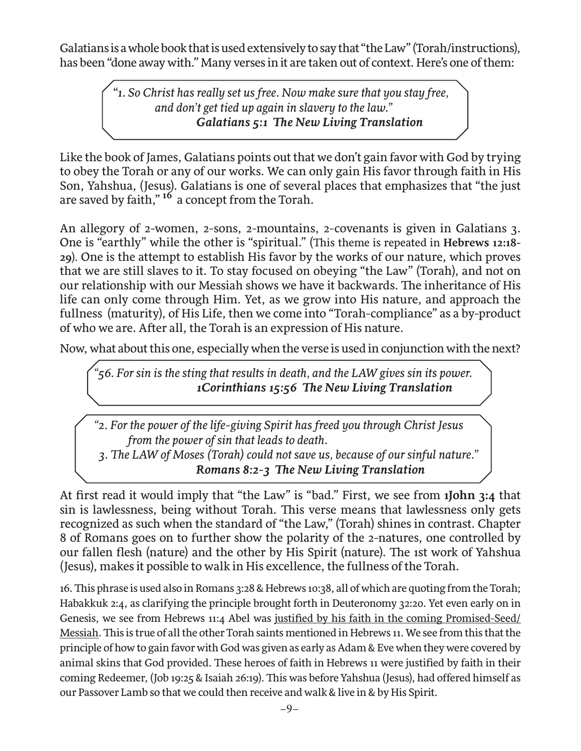Galatians is a whole book that is used extensively to say that "the Law" (Torah/instructions), has been "done away with." Many verses in it are taken out of context. Here's one of them:

> "*1. So Christ has really set us free. Now make sure that you stay free, and don't get tied up again in slavery to the law." Galatians 5:1 The New Living Translation*

Like the book of James, Galatians points out that we don't gain favor with God by trying to obey the Torah or any of our works. We can only gain His favor through faith in His Son, Yahshua, (Jesus). Galatians is one of several places that emphasizes that "the just are saved by faith," **<sup>16</sup>**a concept from the Torah.

An allegory of 2-women, 2-sons, 2-mountains, 2-covenants is given in Galatians 3. One is "earthly" while the other is "spiritual." (This theme is repeated in **Hebrews 12:18- 29**). One is the attempt to establish His favor by the works of our nature, which proves that we are still slaves to it. To stay focused on obeying "the Law" (Torah), and not on our relationship with our Messiah shows we have it backwards. The inheritance of His life can only come through Him. Yet, as we grow into His nature, and approach the fullness (maturity), of His Life, then we come into "Torah-compliance" as a by-product of who we are. After all, the Torah is an expression of His nature.

Now, what about this one, especially when the verse is used in conjunction with the next?

*"56. For sin is the sting that results in death, and the LAW gives sin its power. 1Corinthians 15:56 The New Living Translation*

*"2. For the power of the life-giving Spirit has freed you through Christ Jesus from the power of sin that leads to death. 3. The LAW of Moses (Torah) could not save us, because of our sinful nature." Romans 8:2-3 The New Living Translation*

At first read it would imply that "the Law" is "bad." First, we see from **1John 3:4** that sin is lawlessness, being without Torah. This verse means that lawlessness only gets recognized as such when the standard of "the Law," (Torah) shines in contrast. Chapter 8 of Romans goes on to further show the polarity of the 2-natures, one controlled by our fallen flesh (nature) and the other by His Spirit (nature). The 1st work of Yahshua (Jesus), makes it possible to walk in His excellence, the fullness of the Torah.

16. This phrase is used also in Romans 3:28 & Hebrews 10:38, all of which are quoting from the Torah; Habakkuk 2:4, as clarifying the principle brought forth in Deuteronomy 32:20. Yet even early on in Genesis, we see from Hebrews 11:4 Abel was justified by his faith in the coming Promised-Seed/ Messiah. This is true of all the other Torah saints mentioned in Hebrews 11. We see from this that the principle of how to gain favor with God was given as early as Adam & Eve when they were covered by animal skins that God provided. These heroes of faith in Hebrews 11 were justified by faith in their coming Redeemer, (Job 19:25 & Isaiah 26:19). This was before Yahshua (Jesus), had offered himself as our Passover Lamb so that we could then receive and walk & live in & by His Spirit.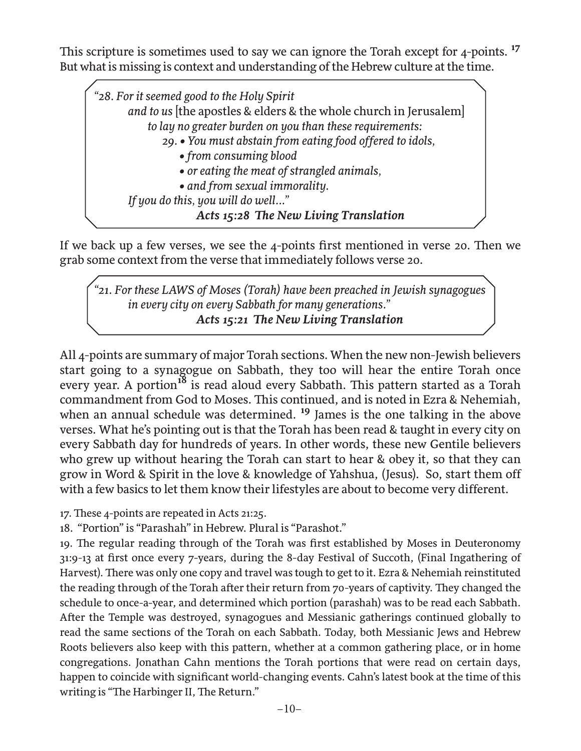This scripture is sometimes used to say we can ignore the Torah except for 4-points.<sup>17</sup> But what is missing is context and understanding of the Hebrew culture at the time.

*"28. For it seemed good to the Holy Spirit and to us* [the apostles & elders & the whole church in Jerusalem]  *to lay no greater burden on you than these requirements: 29. • You must abstain from eating food offered to idols, • from consuming blood • or eating the meat of strangled animals, • and from sexual immorality. If you do this, you will do well..." Acts 15:28 The New Living Translation*

If we back up a few verses, we see the 4-points first mentioned in verse 20. Then we grab some context from the verse that immediately follows verse 20.

*"21. For these LAWS of Moses (Torah) have been preached in Jewish synagogues in every city on every Sabbath for many generations." Acts 15:21 The New Living Translation*

All 4-points are summary of major Torah sections. When the new non-Jewish believers start going to a synagogue on Sabbath, they too will hear the entire Torah once every year. A portion**18** is read aloud every Sabbath. This pattern started as a Torah commandment from God to Moses. This continued, and is noted in Ezra & Nehemiah, when an annual schedule was determined.<sup>19</sup> James is the one talking in the above verses. What he's pointing out is that the Torah has been read & taught in every city on every Sabbath day for hundreds of years. In other words, these new Gentile believers who grew up without hearing the Torah can start to hear & obey it, so that they can grow in Word & Spirit in the love & knowledge of Yahshua, (Jesus). So, start them off with a few basics to let them know their lifestyles are about to become very different.

17. These 4-points are repeated in Acts 21:25.

18. "Portion" is "Parashah" in Hebrew. Plural is "Parashot."

19. The regular reading through of the Torah was first established by Moses in Deuteronomy 31:9-13 at first once every 7-years, during the 8-day Festival of Succoth, (Final Ingathering of Harvest). There was only one copy and travel was tough to get to it. Ezra & Nehemiah reinstituted the reading through of the Torah after their return from 70-years of captivity. They changed the schedule to once-a-year, and determined which portion (parashah) was to be read each Sabbath. After the Temple was destroyed, synagogues and Messianic gatherings continued globally to read the same sections of the Torah on each Sabbath. Today, both Messianic Jews and Hebrew Roots believers also keep with this pattern, whether at a common gathering place, or in home congregations. Jonathan Cahn mentions the Torah portions that were read on certain days, happen to coincide with significant world-changing events. Cahn's latest book at the time of this writing is "The Harbinger II, The Return."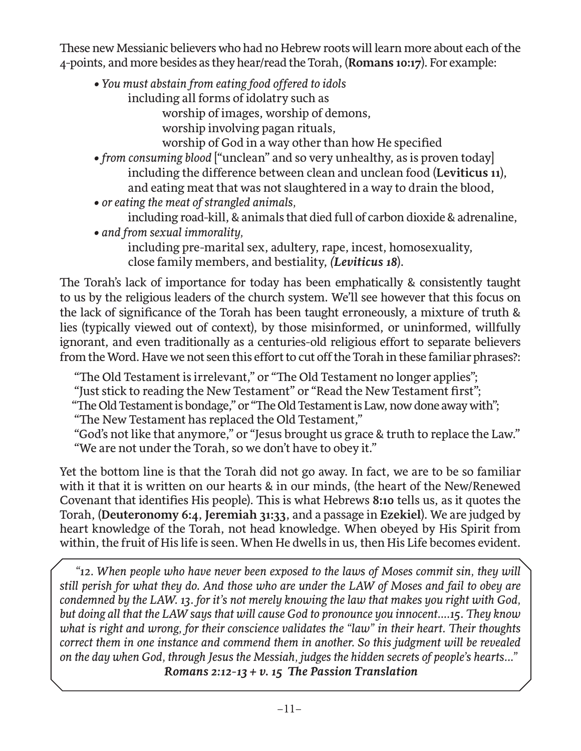These new Messianic believers who had no Hebrew roots will learn more about each of the 4-points, and more besides as they hear/read the Torah, (**Romans 10:17**). For example:

- *You must abstain from eating food offered to idols*
	- including all forms of idolatry such as

worship of images, worship of demons,

worship involving pagan rituals,

worship of God in a way other than how He specified

- *from consuming blood* ["unclean" and so very unhealthy, as is proven today] including the difference between clean and unclean food (**Leviticus 11**), and eating meat that was not slaughtered in a way to drain the blood,
- *or eating the meat of strangled animals,*

including road-kill, & animals that died full of carbon dioxide & adrenaline, *• and from sexual immorality,* 

including pre-marital sex, adultery, rape, incest, homosexuality, close family members, and bestiality, *(Leviticus 18*).

The Torah's lack of importance for today has been emphatically & consistently taught to us by the religious leaders of the church system. We'll see however that this focus on the lack of significance of the Torah has been taught erroneously, a mixture of truth & lies (typically viewed out of context), by those misinformed, or uninformed, willfully ignorant, and even traditionally as a centuries-old religious effort to separate believers from the Word. Have we not seen this effort to cut off the Torah in these familiar phrases?:

"The Old Testament is irrelevant," or "The Old Testament no longer applies";

"Just stick to reading the New Testament" or "Read the New Testament first";

"The Old Testament is bondage," or "The Old Testament is Law, now done away with";

"The New Testament has replaced the Old Testament,"

 "God's not like that anymore," or "Jesus brought us grace & truth to replace the Law." "We are not under the Torah, so we don't have to obey it."

Yet the bottom line is that the Torah did not go away. In fact, we are to be so familiar with it that it is written on our hearts & in our minds, (the heart of the New/Renewed Covenant that identifies His people). This is what Hebrews **8:10** tells us, as it quotes the Torah, (**Deuteronomy 6:4**, **Jeremiah 31:33**, and a passage in **Ezekiel**). We are judged by heart knowledge of the Torah, not head knowledge. When obeyed by His Spirit from within, the fruit of His life is seen. When He dwells in us, then His Life becomes evident.

 *"12. When people who have never been exposed to the laws of Moses commit sin, they will still perish for what they do. And those who are under the LAW of Moses and fail to obey are condemned by the LAW. 13. for it's not merely knowing the law that makes you right with God, but doing all that the LAW says that will cause God to pronounce you innocent....15. They know what is right and wrong, for their conscience validates the "law" in their heart. Their thoughts correct them in one instance and commend them in another. So this judgment will be revealed on the day when God, through Jesus the Messiah, judges the hidden secrets of people's hearts..."*

 *Romans 2:12-13 + v. 15 The Passion Translation*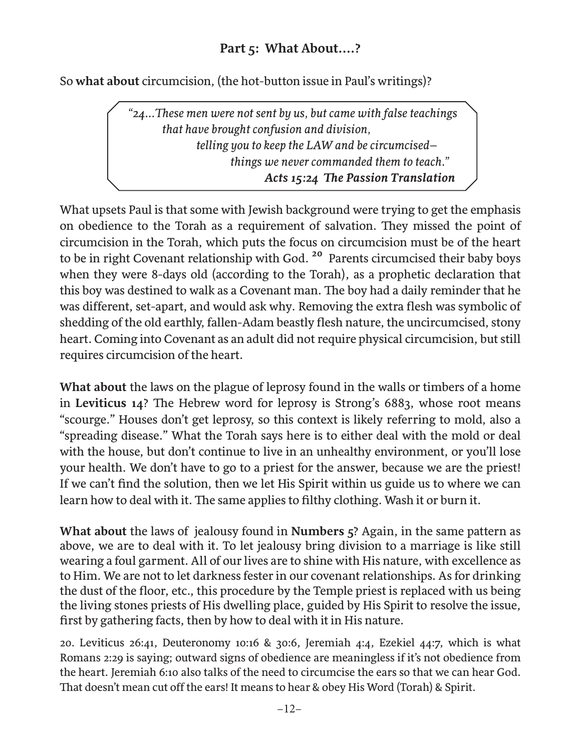#### **Part 5: What About....?**

So **what about** circumcision, (the hot-button issue in Paul's writings)?

 *"24...These men were not sent by us, but came with false teachings that have brought confusion and division, telling you to keep the LAW and be circumcised– things we never commanded them to teach." Acts 15:24 The Passion Translation*

What upsets Paul is that some with Jewish background were trying to get the emphasis on obedience to the Torah as a requirement of salvation. They missed the point of circumcision in the Torah, which puts the focus on circumcision must be of the heart to be in right Covenant relationship with God. **20** Parents circumcised their baby boys when they were 8-days old (according to the Torah), as a prophetic declaration that this boy was destined to walk as a Covenant man. The boy had a daily reminder that he was different, set-apart, and would ask why. Removing the extra flesh was symbolic of shedding of the old earthly, fallen-Adam beastly flesh nature, the uncircumcised, stony heart. Coming into Covenant as an adult did not require physical circumcision, but still requires circumcision of the heart.

**What about** the laws on the plague of leprosy found in the walls or timbers of a home in **Leviticus 14**? The Hebrew word for leprosy is Strong's 6883, whose root means "scourge." Houses don't get leprosy, so this context is likely referring to mold, also a "spreading disease." What the Torah says here is to either deal with the mold or deal with the house, but don't continue to live in an unhealthy environment, or you'll lose your health. We don't have to go to a priest for the answer, because we are the priest! If we can't find the solution, then we let His Spirit within us guide us to where we can learn how to deal with it. The same applies to filthy clothing. Wash it or burn it.

**What about** the laws of jealousy found in **Numbers 5**? Again, in the same pattern as above, we are to deal with it. To let jealousy bring division to a marriage is like still wearing a foul garment. All of our lives are to shine with His nature, with excellence as to Him. We are not to let darkness fester in our covenant relationships. As for drinking the dust of the floor, etc., this procedure by the Temple priest is replaced with us being the living stones priests of His dwelling place, guided by His Spirit to resolve the issue, first by gathering facts, then by how to deal with it in His nature.

20. Leviticus 26:41, Deuteronomy 10:16 & 30:6, Jeremiah 4:4, Ezekiel 44:7, which is what Romans 2:29 is saying; outward signs of obedience are meaningless if it's not obedience from the heart. Jeremiah 6:10 also talks of the need to circumcise the ears so that we can hear God. That doesn't mean cut off the ears! It means to hear & obey His Word (Torah) & Spirit.